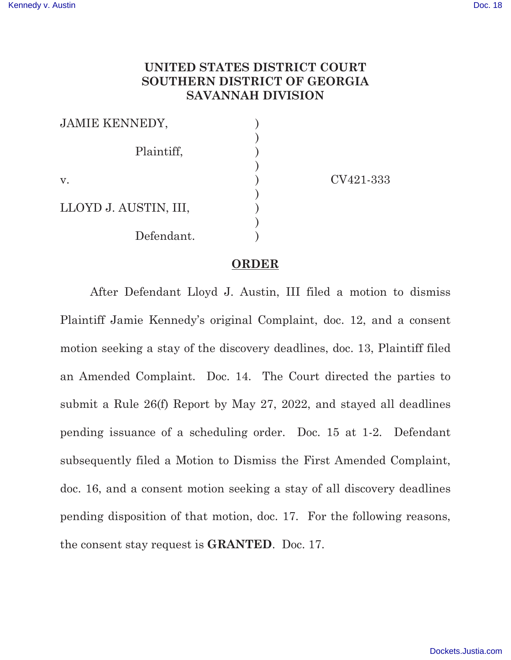## **UNITED STATES DISTRICT COURT SOUTHERN DISTRICT OF GEORGIA SAVANNAH DIVISION**

| <b>JAMIE KENNEDY,</b> |  |
|-----------------------|--|
|                       |  |
| Plaintiff,            |  |
|                       |  |
| V.                    |  |
|                       |  |
| LLOYD J. AUSTIN, III, |  |
|                       |  |
| Defendant.            |  |

CV421-333

## **ORDER**

 After Defendant Lloyd J. Austin, III filed a motion to dismiss Plaintiff Jamie Kennedy's original Complaint, doc. 12, and a consent motion seeking a stay of the discovery deadlines, doc. 13, Plaintiff filed an Amended Complaint. Doc. 14. The Court directed the parties to submit a Rule 26(f) Report by May 27, 2022, and stayed all deadlines pending issuance of a scheduling order. Doc. 15 at 1-2. Defendant subsequently filed a Motion to Dismiss the First Amended Complaint, doc. 16, and a consent motion seeking a stay of all discovery deadlines pending disposition of that motion, doc. 17. For the following reasons, the consent stay request is **GRANTED**. Doc. 17.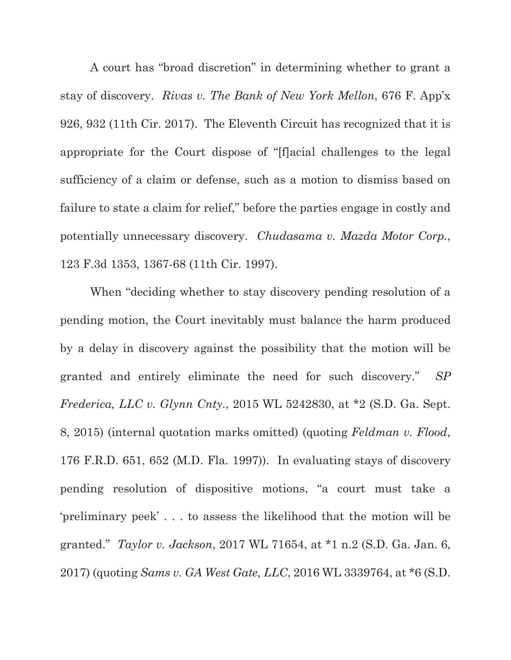A court has "broad discretion" in determining whether to grant a stay of discovery. *Rivas v. The Bank of New York Mellon*, 676 F. App'x 926, 932 (11th Cir. 2017). The Eleventh Circuit has recognized that it is appropriate for the Court dispose of "[f]acial challenges to the legal sufficiency of a claim or defense, such as a motion to dismiss based on failure to state a claim for relief," before the parties engage in costly and potentially unnecessary discovery. *Chudasama v. Mazda Motor Corp.*, 123 F.3d 1353, 1367-68 (11th Cir. 1997).

When "deciding whether to stay discovery pending resolution of a pending motion, the Court inevitably must balance the harm produced by a delay in discovery against the possibility that the motion will be granted and entirely eliminate the need for such discovery." *SP Frederica, LLC v. Glynn Cnty.*, 2015 WL 5242830, at \*2 (S.D. Ga. Sept. 8, 2015) (internal quotation marks omitted) (quoting *Feldman v. Flood*, 176 F.R.D. 651, 652 (M.D. Fla. 1997)). In evaluating stays of discovery pending resolution of dispositive motions, "a court must take a 'preliminary peek' . . . to assess the likelihood that the motion will be granted." *Taylor v. Jackson*, 2017 WL 71654, at \*1 n.2 (S.D. Ga. Jan. 6, 2017) (quoting *Sams v. GA West Gate, LLC*, 2016 WL 3339764, at \*6 (S.D.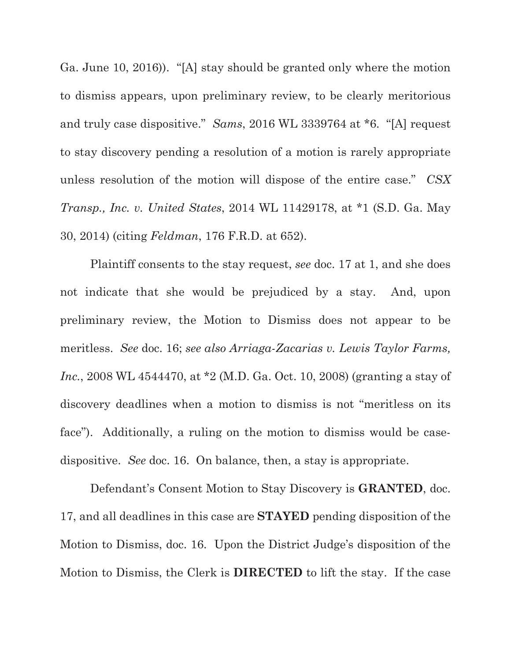Ga. June 10, 2016)). "[A] stay should be granted only where the motion to dismiss appears, upon preliminary review, to be clearly meritorious and truly case dispositive." *Sams*, 2016 WL 3339764 at \*6. "[A] request to stay discovery pending a resolution of a motion is rarely appropriate unless resolution of the motion will dispose of the entire case." *CSX Transp., Inc. v. United States*, 2014 WL 11429178, at \*1 (S.D. Ga. May 30, 2014) (citing *Feldman*, 176 F.R.D. at 652).

 Plaintiff consents to the stay request, *see* doc. 17 at 1, and she does not indicate that she would be prejudiced by a stay. And, upon preliminary review, the Motion to Dismiss does not appear to be meritless. *See* doc. 16; *see also Arriaga-Zacarias v. Lewis Taylor Farms, Inc.*, 2008 WL 4544470, at \*2 (M.D. Ga. Oct. 10, 2008) (granting a stay of discovery deadlines when a motion to dismiss is not "meritless on its face"). Additionally, a ruling on the motion to dismiss would be casedispositive. *See* doc. 16. On balance, then, a stay is appropriate.

 Defendant's Consent Motion to Stay Discovery is **GRANTED**, doc. 17, and all deadlines in this case are **STAYED** pending disposition of the Motion to Dismiss, doc. 16. Upon the District Judge's disposition of the Motion to Dismiss, the Clerk is **DIRECTED** to lift the stay. If the case